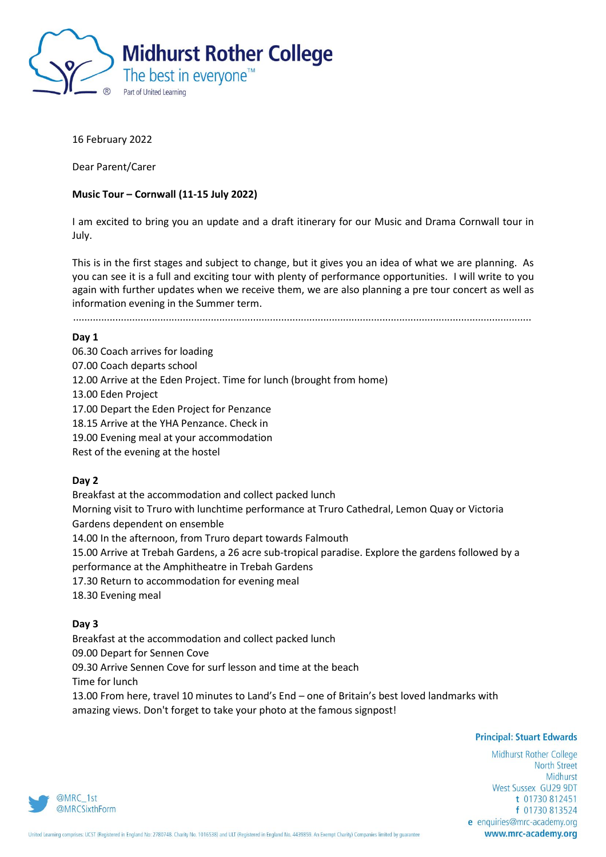

16 February 2022

Dear Parent/Carer

# **Music Tour – Cornwall (11-15 July 2022)**

I am excited to bring you an update and a draft itinerary for our Music and Drama Cornwall tour in July.

This is in the first stages and subject to change, but it gives you an idea of what we are planning. As you can see it is a full and exciting tour with plenty of performance opportunities. I will write to you again with further updates when we receive them, we are also planning a pre tour concert as well as information evening in the Summer term.

...................................................................................................................................................................

## **Day 1**

06.30 Coach arrives for loading 07.00 Coach departs school 12.00 Arrive at the Eden Project. Time for lunch (brought from home) 13.00 Eden Project 17.00 Depart the Eden Project for Penzance 18.15 Arrive at the YHA Penzance. Check in 19.00 Evening meal at your accommodation Rest of the evening at the hostel

# **Day 2**

Breakfast at the accommodation and collect packed lunch Morning visit to Truro with lunchtime performance at Truro Cathedral, Lemon Quay or Victoria Gardens dependent on ensemble 14.00 In the afternoon, from Truro depart towards Falmouth 15.00 Arrive at Trebah Gardens, a 26 acre sub-tropical paradise. Explore the gardens followed by a performance at the Amphitheatre in Trebah Gardens 17.30 Return to accommodation for evening meal 18.30 Evening meal

## **Day 3**

Breakfast at the accommodation and collect packed lunch 09.00 Depart for Sennen Cove 09.30 Arrive Sennen Cove for surf lesson and time at the beach Time for lunch 13.00 From here, travel 10 minutes to Land's End – one of Britain's best loved landmarks with amazing views. Don't forget to take your photo at the famous signpost!

## **Principal: Stuart Edwards**

Midhurst Rother College **North Street** Midhurst West Sussex GU29 9DT t 01730 812451 f 01730 813524 e enquiries@mrc-academy.org www.mrc-academy.org

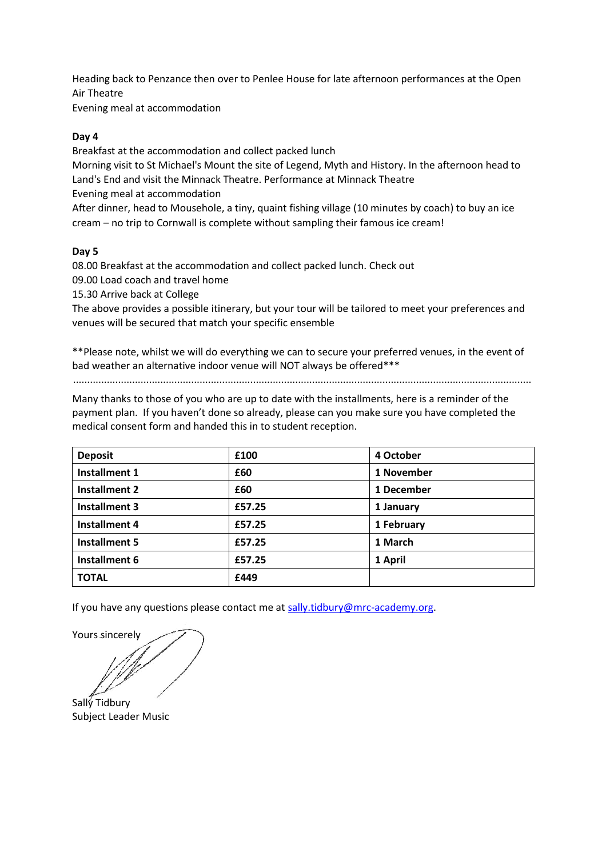Heading back to Penzance then over to Penlee House for late afternoon performances at the Open Air Theatre

Evening meal at accommodation

# **Day 4**

Breakfast at the accommodation and collect packed lunch

Morning visit to St Michael's Mount the site of Legend, Myth and History. In the afternoon head to Land's End and visit the Minnack Theatre. Performance at Minnack Theatre

Evening meal at accommodation

After dinner, head to Mousehole, a tiny, quaint fishing village (10 minutes by coach) to buy an ice cream – no trip to Cornwall is complete without sampling their famous ice cream!

# **Day 5**

08.00 Breakfast at the accommodation and collect packed lunch. Check out

09.00 Load coach and travel home

15.30 Arrive back at College

The above provides a possible itinerary, but your tour will be tailored to meet your preferences and venues will be secured that match your specific ensemble

\*\*Please note, whilst we will do everything we can to secure your preferred venues, in the event of bad weather an alternative indoor venue will NOT always be offered\*\*\*

...................................................................................................................................................................

Many thanks to those of you who are up to date with the installments, here is a reminder of the payment plan. If you haven't done so already, please can you make sure you have completed the medical consent form and handed this in to student reception.

| <b>Deposit</b>       | £100   | 4 October  |
|----------------------|--------|------------|
| <b>Installment 1</b> | £60    | 1 November |
| <b>Installment 2</b> | £60    | 1 December |
| <b>Installment 3</b> | £57.25 | 1 January  |
| Installment 4        | £57.25 | 1 February |
| Installment 5        | £57.25 | 1 March    |
| Installment 6        | £57.25 | 1 April    |
| <b>TOTAL</b>         | £449   |            |

If you have any questions please contact me at [sally.tidbury@mrc-academy.org.](mailto:sally.tidbury@mrc-academy.org)

Yours sincerely

Sally Tidbury Subject Leader Music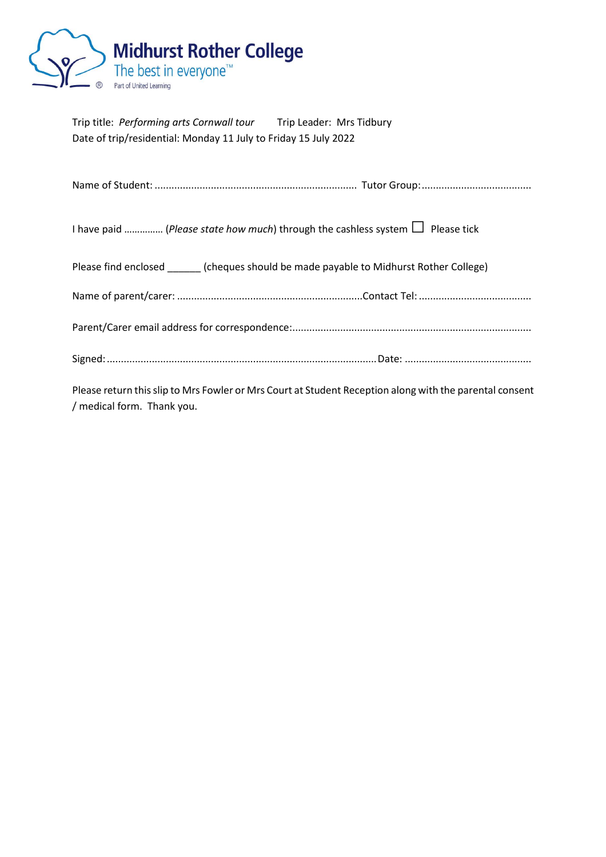

| Trip title: Performing arts Cornwall tour                       | Trip Leader: Mrs Tidbury |
|-----------------------------------------------------------------|--------------------------|
| Date of trip/residential: Monday 11 July to Friday 15 July 2022 |                          |

| I have paid  (Please state how much) through the cashless system $\Box$ Please tick                                                   |  |
|---------------------------------------------------------------------------------------------------------------------------------------|--|
| Please find enclosed (cheques should be made payable to Midhurst Rother College)                                                      |  |
|                                                                                                                                       |  |
|                                                                                                                                       |  |
|                                                                                                                                       |  |
| Please return this slip to Mrs Fowler or Mrs Court at Student Reception along with the parental consent<br>/ medical form. Thank you. |  |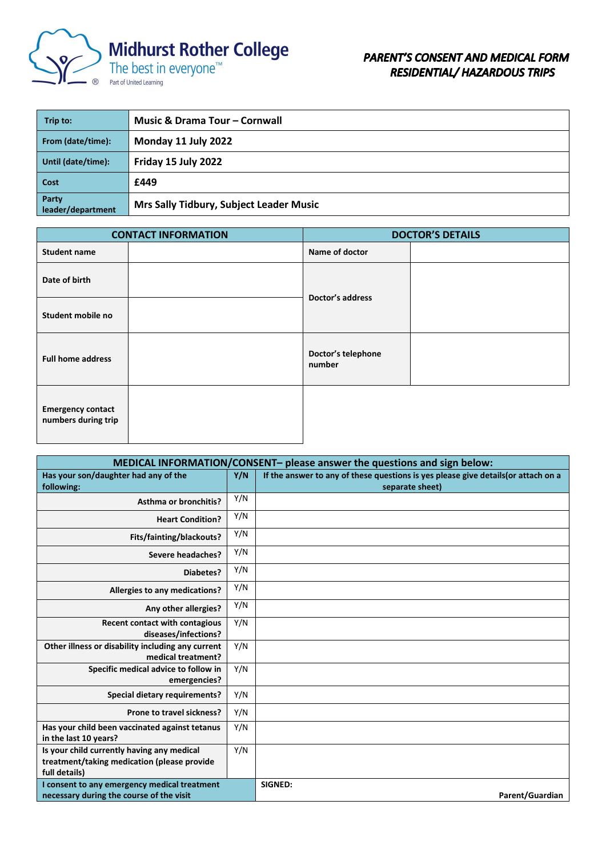

| Trip to:                   | <b>Music &amp; Drama Tour - Cornwall</b> |
|----------------------------|------------------------------------------|
| From (date/time):          | Monday 11 July 2022                      |
| Until (date/time):         | Friday 15 July 2022                      |
| Cost                       | £449                                     |
| Party<br>leader/department | Mrs Sally Tidbury, Subject Leader Music  |

| <b>CONTACT INFORMATION</b>                      |  | <b>DOCTOR'S DETAILS</b>      |  |
|-------------------------------------------------|--|------------------------------|--|
| <b>Student name</b>                             |  | Name of doctor               |  |
| Date of birth                                   |  | Doctor's address             |  |
| Student mobile no                               |  |                              |  |
| <b>Full home address</b>                        |  | Doctor's telephone<br>number |  |
| <b>Emergency contact</b><br>numbers during trip |  |                              |  |

| MEDICAL INFORMATION/CONSENT- please answer the questions and sign below: |     |                                                                                    |
|--------------------------------------------------------------------------|-----|------------------------------------------------------------------------------------|
| Has your son/daughter had any of the                                     | Y/N | If the answer to any of these questions is yes please give details (or attach on a |
| following:                                                               |     | separate sheet)                                                                    |
| <b>Asthma or bronchitis?</b>                                             | Y/N |                                                                                    |
| <b>Heart Condition?</b>                                                  | Y/N |                                                                                    |
| Fits/fainting/blackouts?                                                 | Y/N |                                                                                    |
| <b>Severe headaches?</b>                                                 | Y/N |                                                                                    |
| Diabetes?                                                                | Y/N |                                                                                    |
| Allergies to any medications?                                            | Y/N |                                                                                    |
| Any other allergies?                                                     | Y/N |                                                                                    |
| Recent contact with contagious<br>diseases/infections?                   | Y/N |                                                                                    |
| Other illness or disability including any current<br>medical treatment?  | Y/N |                                                                                    |
| Specific medical advice to follow in<br>emergencies?                     | Y/N |                                                                                    |
| <b>Special dietary requirements?</b>                                     | Y/N |                                                                                    |
| Prone to travel sickness?                                                | Y/N |                                                                                    |
| Has your child been vaccinated against tetanus<br>in the last 10 years?  | Y/N |                                                                                    |
| Is your child currently having any medical                               | Y/N |                                                                                    |
| treatment/taking medication (please provide                              |     |                                                                                    |
| full details)                                                            |     |                                                                                    |
| I consent to any emergency medical treatment                             |     | SIGNED:                                                                            |
| necessary during the course of the visit                                 |     | Parent/Guardian                                                                    |